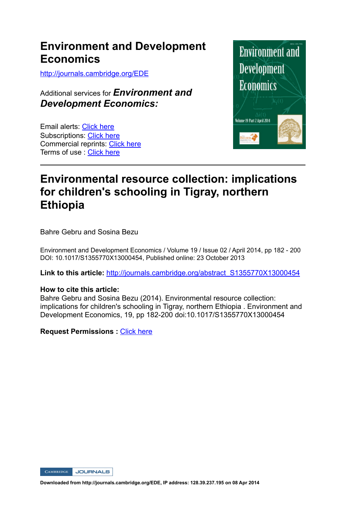## **Environment and Development Economics**

http://journals.cambridge.org/EDE

Additional services for *Environment and Development Economics:*

Email alerts: Click here Subscriptions: Click here Commercial reprints: Click here Terms of use : Click here



# **Environmental resource collection: implications for children's schooling in Tigray, northern Ethiopia**

Bahre Gebru and Sosina Bezu

Environment and Development Economics / Volume 19 / Issue 02 / April 2014, pp 182 - 200 DOI: 10.1017/S1355770X13000454, Published online: 23 October 2013

**Link to this article:** http://journals.cambridge.org/abstract\_S1355770X13000454

## **How to cite this article:**

Bahre Gebru and Sosina Bezu (2014). Environmental resource collection: implications for children's schooling in Tigray, northern Ethiopia . Environment and Development Economics, 19, pp 182-200 doi:10.1017/S1355770X13000454

**Request Permissions :** Click here

CAMBRIDGE JOURNALS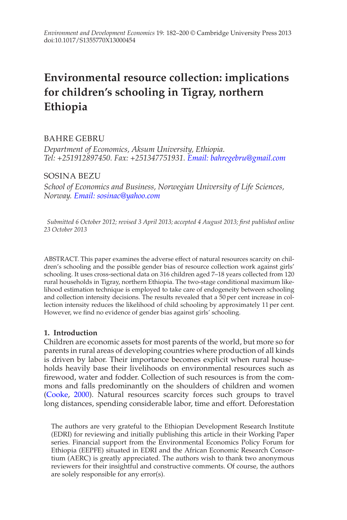# **Environmental resource collection: implications for children's schooling in Tigray, northern Ethiopia**

## BAHRE GEBRU

*Department of Economics, Aksum University, Ethiopia. Tel: +251912897450. Fax: +251347751931. [Email: bahregebru@gmail.com](mailto:bahregebru@gmail.com)*

## SOSINA BEZU

*School of Economics and Business, Norwegian University of Life Sciences, Norway. [Email: sosinac@yahoo.com](mailto:sosinac@yahoo.com)*

*Submitted 6 October 2012; revised 3 April 2013; accepted 4 August 2013; first published online 23 October 2013*

ABSTRACT. This paper examines the adverse effect of natural resources scarcity on children's schooling and the possible gender bias of resource collection work against girls' schooling. It uses cross-sectional data on 316 children aged 7–18 years collected from 120 rural households in Tigray, northern Ethiopia. The two-stage conditional maximum likelihood estimation technique is employed to take care of endogeneity between schooling and collection intensity decisions. The results revealed that a 50 per cent increase in collection intensity reduces the likelihood of child schooling by approximately 11 per cent. However, we find no evidence of gender bias against girls' schooling.

## **1. Introduction**

Children are economic assets for most parents of the world, but more so for parents in rural areas of developing countries where production of all kinds is driven by labor. Their importance becomes explicit when rural households heavily base their livelihoods on environmental resources such as firewood, water and fodder. Collection of such resources is from the commons and falls predominantly on the shoulders of children and women (Cooke, 2000). Natural resources scarcity forces such groups to travel long distances, spending considerable labor, time and effort. Deforestation

The authors are very grateful to the Ethiopian Development Research Institute (EDRI) for reviewing and initially publishing this article in their Working Paper series. Financial support from the Environmental Economics Policy Forum for Ethiopia (EEPFE) situated in EDRI and the African Economic Research Consortium (AERC) is greatly appreciated. The authors wish to thank two anonymous reviewers for their insightful and constructive comments. Of course, the authors are solely responsible for any error(s).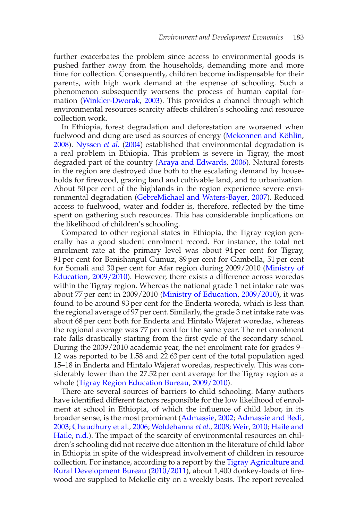further exacerbates the problem since access to environmental goods is pushed farther away from the households, demanding more and more time for collection. Consequently, children become indispensable for their parents, with high work demand at the expense of schooling. Such a phenomenon subsequently worsens the process of human capital formation (Winkler-Dworak, 2003). This provides a channel through which environmental resources scarcity affects children's schooling and resource collection work.

In Ethiopia, forest degradation and deforestation are worsened when fuelwood and dung are used as sources of energy (Mekonnen and Köhlin, 2008). Nyssen *et al*. (2004) established that environmental degradation is a real problem in Ethiopia. This problem is severe in Tigray, the most degraded part of the country (Araya and Edwards, 2006). Natural forests in the region are destroyed due both to the escalating demand by households for firewood, grazing land and cultivable land, and to urbanization. About 50 per cent of the highlands in the region experience severe environmental degradation (GebreMichael and Waters-Bayer, 2007). Reduced access to fuelwood, water and fodder is, therefore, reflected by the time spent on gathering such resources. This has considerable implications on the likelihood of children's schooling.

Compared to other regional states in Ethiopia, the Tigray region generally has a good student enrolment record. For instance, the total net enrolment rate at the primary level was about 94 per cent for Tigray, 91 per cent for Benishangul Gumuz, 89 per cent for Gambella, 51 per cent for Somali and 30 per cent for Afar region during 2009/2010 (Ministry of Education, 2009/2010). However, there exists a difference across woredas within the Tigray region. Whereas the national grade 1 net intake rate was about 77 per cent in 2009/2010 (Ministry of Education, 2009/2010), it was found to be around 93 per cent for the Enderta woreda, which is less than the regional average of 97 per cent. Similarly, the grade 3 net intake rate was about 68 per cent both for Enderta and Hintalo Wajerat woredas, whereas the regional average was 77 per cent for the same year. The net enrolment rate falls drastically starting from the first cycle of the secondary school. During the 2009/2010 academic year, the net enrolment rate for grades 9– 12 was reported to be 1.58 and 22.63 per cent of the total population aged 15–18 in Enderta and Hintalo Wajerat woredas, respectively. This was considerably lower than the 27.52 per cent average for the Tigray region as a whole (Tigray Region Education Bureau, 2009/2010).

There are several sources of barriers to child schooling. Many authors have identified different factors responsible for the low likelihood of enrolment at school in Ethiopia, of which the influence of child labor, in its broader sense, is the most prominent (Admassie, 2002; Admassie and Bedi, 2003; Chaudhury et al., 2006; Woldehanna *et al*., 2008; Weir, 2010; Haile and Haile, n.d.). The impact of the scarcity of environmental resources on children's schooling did not receive due attention in the literature of child labor in Ethiopia in spite of the widespread involvement of children in resource collection. For instance, according to a report by the Tigray Agriculture and Rural Development Bureau (2010/2011), about 1,400 donkey-loads of firewood are supplied to Mekelle city on a weekly basis. The report revealed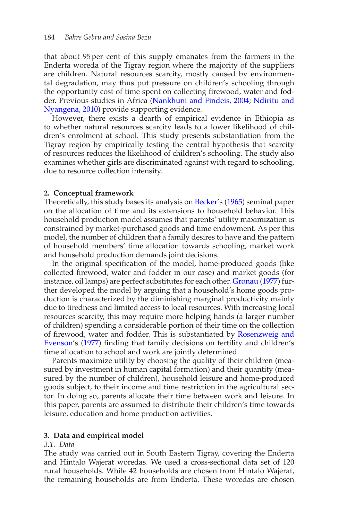that about 95 per cent of this supply emanates from the farmers in the Enderta woreda of the Tigray region where the majority of the suppliers are children. Natural resources scarcity, mostly caused by environmental degradation, may thus put pressure on children's schooling through the opportunity cost of time spent on collecting firewood, water and fodder. Previous studies in Africa (Nankhuni and Findeis, 2004; Ndiritu and Nyangena, 2010) provide supporting evidence.

However, there exists a dearth of empirical evidence in Ethiopia as to whether natural resources scarcity leads to a lower likelihood of children's enrolment at school. This study presents substantiation from the Tigray region by empirically testing the central hypothesis that scarcity of resources reduces the likelihood of children's schooling. The study also examines whether girls are discriminated against with regard to schooling, due to resource collection intensity.

#### **2. Conceptual framework**

Theoretically, this study bases its analysis on Becker's (1965) seminal paper on the allocation of time and its extensions to household behavior. This household production model assumes that parents' utility maximization is constrained by market-purchased goods and time endowment. As per this model, the number of children that a family desires to have and the pattern of household members' time allocation towards schooling, market work and household production demands joint decisions.

In the original specification of the model, home-produced goods (like collected firewood, water and fodder in our case) and market goods (for instance, oil lamps) are perfect substitutes for each other. Gronau (1977) further developed the model by arguing that a household's home goods production is characterized by the diminishing marginal productivity mainly due to tiredness and limited access to local resources. With increasing local resources scarcity, this may require more helping hands (a larger number of children) spending a considerable portion of their time on the collection of firewood, water and fodder. This is substantiated by Rosenzweig and Evenson's (1977) finding that family decisions on fertility and children's time allocation to school and work are jointly determined.

Parents maximize utility by choosing the quality of their children (measured by investment in human capital formation) and their quantity (measured by the number of children), household leisure and home-produced goods subject, to their income and time restriction in the agricultural sector. In doing so, parents allocate their time between work and leisure. In this paper, parents are assumed to distribute their children's time towards leisure, education and home production activities.

#### **3. Data and empirical model**

#### *3.1. Data*

The study was carried out in South Eastern Tigray, covering the Enderta and Hintalo Wajerat woredas. We used a cross-sectional data set of 120 rural households. While 42 households are chosen from Hintalo Wajerat, the remaining households are from Enderta. These woredas are chosen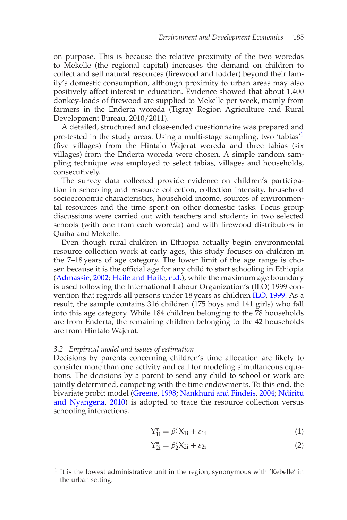on purpose. This is because the relative proximity of the two woredas to Mekelle (the regional capital) increases the demand on children to collect and sell natural resources (firewood and fodder) beyond their family's domestic consumption, although proximity to urban areas may also positively affect interest in education. Evidence showed that about 1,400 donkey-loads of firewood are supplied to Mekelle per week, mainly from farmers in the Enderta woreda (Tigray Region Agriculture and Rural Development Bureau, 2010/2011).

A detailed, structured and close-ended questionnaire was prepared and pre-tested in the study areas. Using a multi-stage sampling, two 'tabias'1 (five villages) from the Hintalo Wajerat woreda and three tabias (six villages) from the Enderta woreda were chosen. A simple random sampling technique was employed to select tabias, villages and households, consecutively.

The survey data collected provide evidence on children's participation in schooling and resource collection, collection intensity, household socioeconomic characteristics, household income, sources of environmental resources and the time spent on other domestic tasks. Focus group discussions were carried out with teachers and students in two selected schools (with one from each woreda) and with firewood distributors in Quiha and Mekelle.

Even though rural children in Ethiopia actually begin environmental resource collection work at early ages, this study focuses on children in the 7–18 years of age category. The lower limit of the age range is chosen because it is the official age for any child to start schooling in Ethiopia (Admassie, 2002; Haile and Haile, n.d.), while the maximum age boundary is used following the International Labour Organization's (ILO) 1999 convention that regards all persons under 18 years as children ILO, 1999. As a result, the sample contains 316 children (175 boys and 141 girls) who fall into this age category. While 184 children belonging to the 78 households are from Enderta, the remaining children belonging to the 42 households are from Hintalo Wajerat.

#### *3.2. Empirical model and issues of estimation*

Decisions by parents concerning children's time allocation are likely to consider more than one activity and call for modeling simultaneous equations. The decisions by a parent to send any child to school or work are jointly determined, competing with the time endowments. To this end, the bivariate probit model (Greene, 1998; Nankhuni and Findeis, 2004; Ndiritu and Nyangena, 2010) is adopted to trace the resource collection versus schooling interactions.

$$
Y_{1i}^* = \beta_1' X_{1i} + \varepsilon_{1i} \tag{1}
$$

$$
Y_{2i}^* = \beta_2' X_{2i} + \varepsilon_{2i} \tag{2}
$$

 $<sup>1</sup>$  It is the lowest administrative unit in the region, synonymous with 'Kebelle' in</sup> the urban setting.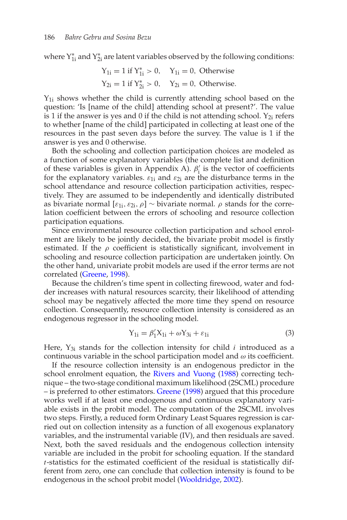where  $Y_{1i}^*$  and  $Y_{2i}^*$  are latent variables observed by the following conditions:

$$
Y_{1i} = 1
$$
 if  $Y_{1i}^* > 0$ ,  $Y_{1i} = 0$ , Otherwise  
\n $Y_{2i} = 1$  if  $Y_{2i}^* > 0$ ,  $Y_{2i} = 0$ , Otherwise.

 $Y_{1i}$  shows whether the child is currently attending school based on the question: 'Is [name of the child] attending school at present?'. The value is 1 if the answer is yes and 0 if the child is not attending school.  $Y_{2i}$  refers to whether [name of the child] participated in collecting at least one of the resources in the past seven days before the survey. The value is 1 if the answer is yes and 0 otherwise.

Both the schooling and collection participation choices are modeled as a function of some explanatory variables (the complete list and definition of these variables is given in Appendix A).  $\beta'_i$  is the vector of coefficients for the explanatory variables.  $\varepsilon_{1i}$  and  $\varepsilon_{2i}$  are the disturbance terms in the school attendance and resource collection participation activities, respectively. They are assumed to be independently and identically distributed as bivariate normal  $[\varepsilon_{1i}, \varepsilon_{2i}, \rho]$  ∼ bivariate normal.  $\rho$  stands for the correlation coefficient between the errors of schooling and resource collection participation equations.

Since environmental resource collection participation and school enrolment are likely to be jointly decided, the bivariate probit model is firstly estimated. If the  $\rho$  coefficient is statistically significant, involvement in schooling and resource collection participation are undertaken jointly. On the other hand, univariate probit models are used if the error terms are not correlated (Greene, 1998).

Because the children's time spent in collecting firewood, water and fodder increases with natural resources scarcity, their likelihood of attending school may be negatively affected the more time they spend on resource collection. Consequently, resource collection intensity is considered as an endogenous regressor in the schooling model.

$$
Y_{1i} = \beta'_1 X_{1i} + \omega Y_{3i} + \varepsilon_{1i} \tag{3}
$$

Here,  $Y_{3i}$  stands for the collection intensity for child  $i$  introduced as a continuous variable in the school participation model and  $\omega$  its coefficient.

If the resource collection intensity is an endogenous predictor in the school enrolment equation, the Rivers and Vuong (1988) correcting technique – the two-stage conditional maximum likelihood (2SCML) procedure – is preferred to other estimators. Greene (1998) argued that this procedure works well if at least one endogenous and continuous explanatory variable exists in the probit model. The computation of the 2SCML involves two steps. Firstly, a reduced form Ordinary Least Squares regression is carried out on collection intensity as a function of all exogenous explanatory variables, and the instrumental variable (IV), and then residuals are saved. Next, both the saved residuals and the endogenous collection intensity variable are included in the probit for schooling equation. If the standard *t*-statistics for the estimated coefficient of the residual is statistically different from zero, one can conclude that collection intensity is found to be endogenous in the school probit model (Wooldridge, 2002).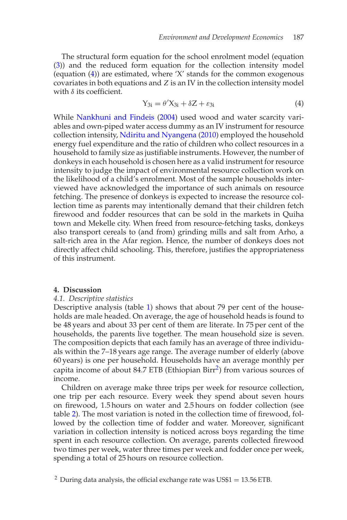The structural form equation for the school enrolment model (equation (3)) and the reduced form equation for the collection intensity model (equation (4)) are estimated, where 'X' stands for the common exogenous covariates in both equations and *Z* is an IV in the collection intensity model with  $\delta$  its coefficient.

$$
Y_{3i} = \theta' X_{3i} + \delta Z + \varepsilon_{3i} \tag{4}
$$

While Nankhuni and Findeis (2004) used wood and water scarcity variables and own-piped water access dummy as an IV instrument for resource collection intensity, Ndiritu and Nyangena (2010) employed the household energy fuel expenditure and the ratio of children who collect resources in a household to family size as justifiable instruments. However, the number of donkeys in each household is chosen here as a valid instrument for resource intensity to judge the impact of environmental resource collection work on the likelihood of a child's enrolment. Most of the sample households interviewed have acknowledged the importance of such animals on resource fetching. The presence of donkeys is expected to increase the resource collection time as parents may intentionally demand that their children fetch firewood and fodder resources that can be sold in the markets in Quiha town and Mekelle city. When freed from resource-fetching tasks, donkeys also transport cereals to (and from) grinding mills and salt from Arho, a salt-rich area in the Afar region. Hence, the number of donkeys does not directly affect child schooling. This, therefore, justifies the appropriateness of this instrument.

#### **4. Discussion**

#### *4.1. Descriptive statistics*

Descriptive analysis (table 1) shows that about 79 per cent of the households are male headed. On average, the age of household heads is found to be 48 years and about 33 per cent of them are literate. In 75 per cent of the households, the parents live together. The mean household size is seven. The composition depicts that each family has an average of three individuals within the 7–18 years age range. The average number of elderly (above 60 years) is one per household. Households have an average monthly per capita income of about 84.7 ETB (Ethiopian Birr2) from various sources of income.

Children on average make three trips per week for resource collection, one trip per each resource. Every week they spend about seven hours on firewood, 1.5 hours on water and 2.5 hours on fodder collection (see table 2). The most variation is noted in the collection time of firewood, followed by the collection time of fodder and water. Moreover, significant variation in collection intensity is noticed across boys regarding the time spent in each resource collection. On average, parents collected firewood two times per week, water three times per week and fodder once per week, spending a total of 25 hours on resource collection.

<sup>2</sup> During data analysis, the official exchange rate was  $US$1 = 13.56 ETB$ .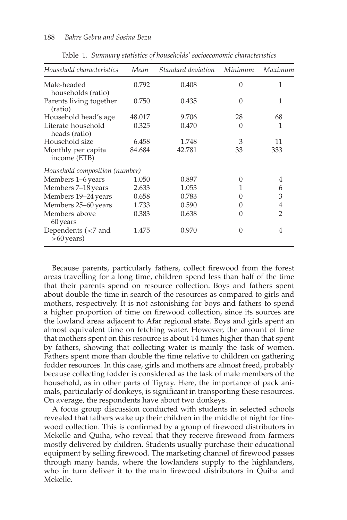| Household characteristics                           | Mean   | Standard deviation | Minimum  | Maximum        |
|-----------------------------------------------------|--------|--------------------|----------|----------------|
| Male-headed<br>households (ratio)                   | 0.792  | 0.408              | $\Omega$ | 1              |
| Parents living together<br>(ratio)                  | 0.750  | 0.435              | $\Omega$ | 1              |
| Household head's age                                | 48.017 | 9.706              | 28       | 68             |
| Literate household<br>heads (ratio)                 | 0.325  | 0.470              | 0        | 1              |
| Household size                                      | 6.458  | 1.748              | 3        | 11             |
| Monthly per capita<br>income (ETB)                  | 84.684 | 42.781             | 33       | 333            |
| Household composition (number)                      |        |                    |          |                |
| Members 1–6 years                                   | 1.050  | 0.897              | 0        | 4              |
| Members 7–18 years                                  | 2.633  | 1.053              | 1        | 6              |
| Members 19-24 years                                 | 0.658  | 0.783              | 0        | 3              |
| Members 25-60 years                                 | 1.733  | 0.590              | 0        | 4              |
| Members above<br>60 years                           | 0.383  | 0.638              | O        | $\overline{2}$ |
| Dependents $\left( < 7 \right)$ and<br>$>60$ years) | 1.475  | 0.970              | 0        | 4              |

Table 1. *Summary statistics of households' socioeconomic characteristics*

Because parents, particularly fathers, collect firewood from the forest areas travelling for a long time, children spend less than half of the time that their parents spend on resource collection. Boys and fathers spent about double the time in search of the resources as compared to girls and mothers, respectively. It is not astonishing for boys and fathers to spend a higher proportion of time on firewood collection, since its sources are the lowland areas adjacent to Afar regional state. Boys and girls spent an almost equivalent time on fetching water. However, the amount of time that mothers spent on this resource is about 14 times higher than that spent by fathers, showing that collecting water is mainly the task of women. Fathers spent more than double the time relative to children on gathering fodder resources. In this case, girls and mothers are almost freed, probably because collecting fodder is considered as the task of male members of the household, as in other parts of Tigray. Here, the importance of pack animals, particularly of donkeys, is significant in transporting these resources. On average, the respondents have about two donkeys.

A focus group discussion conducted with students in selected schools revealed that fathers wake up their children in the middle of night for firewood collection. This is confirmed by a group of firewood distributors in Mekelle and Quiha, who reveal that they receive firewood from farmers mostly delivered by children. Students usually purchase their educational equipment by selling firewood. The marketing channel of firewood passes through many hands, where the lowlanders supply to the highlanders, who in turn deliver it to the main firewood distributors in Quiha and Mekelle.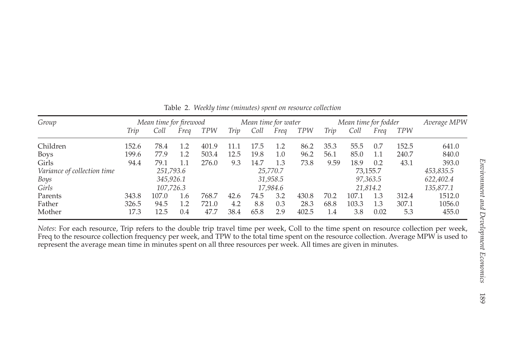| Group                       | Mean time for firewood |           |      | Mean time for water |      |      | Mean time for fodder |            |      | Average MPW |          |            |           |
|-----------------------------|------------------------|-----------|------|---------------------|------|------|----------------------|------------|------|-------------|----------|------------|-----------|
|                             | Trip                   | Coll      | Frea | <b>TPW</b>          | Triv | Coll | Frea                 | <b>TPW</b> | Triv | Coll        | Frea     | <b>TPW</b> |           |
| Children                    | 152.6                  | 78.4      | 1.2  | 401.9               | 11.1 | 17.5 | 1.2                  | 86.2       | 35.3 | 55.5        | 0.7      | 152.5      | 641.0     |
| <b>Boys</b>                 | 199.6                  | 77.9      | 1.2  | 503.4               | 12.5 | 19.8 | $1.0\,$              | 96.2       | 56.1 | 85.0        | 1.1      | 240.7      | 840.0     |
| Girls                       | 94.4                   | 79.1      | 1.1  | 276.0               | 9.3  | 14.7 | 1.3                  | 73.8       | 9.59 | 18.9        | 0.2      | 43.1       | 393.0     |
| Variance of collection time |                        | 251,793.6 |      |                     |      |      | 25,770.7             |            |      |             | 73,155.7 |            | 453,835.5 |
| Boys                        |                        | 345,926.1 |      |                     |      |      | 31,958.5             |            |      |             | 97,363.5 |            | 622,402.4 |
| Girls                       |                        | 107,726.3 |      |                     |      |      | 17.984.6             |            |      |             | 21.814.2 |            | 135,877.1 |
| Parents                     | 343.8                  | 107.0     | 1.6  | 768.7               | 42.6 | 74.5 | 3.2                  | 430.8      | 70.2 | 107.1       | 1.3      | 312.4      | 1512.0    |
| Father                      | 326.5                  | 94.5      | 1.2  | 721.0               | 4.2  | 8.8  | 0.3                  | 28.3       | 68.8 | 103.3       | 1.3      | 307.1      | 1056.0    |
| Mother                      | 17.3                   | 12.5      | 0.4  | 47.7                | 38.4 | 65.8 | 2.9                  | 402.5      | 1.4  | 3.8         | 0.02     | 5.3        | 455.0     |

Table 2. *Weekly time (minutes) spen<sup>t</sup> on resource collection*

*Notes*: For each resource, Trip refers to the double trip travel time per week, Coll to the time spen<sup>t</sup> on resource collection per week, Freq to the resource collection frequency per week, and TPW to the total time spen<sup>t</sup> on the resource collection. Average MPW is used to represen<sup>t</sup> the average mean time in minutes spen<sup>t</sup> on all three resources per week. All times are given in minutes.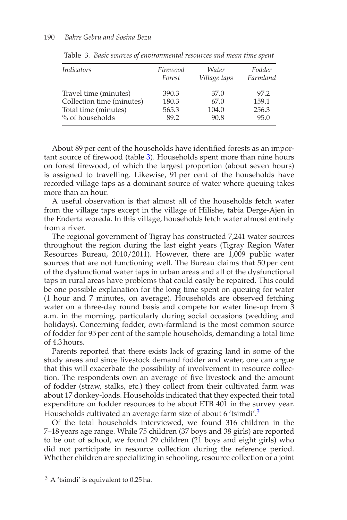| <i>Indicators</i>         | Firewood<br>Forest | Water<br>Village taps | Fodder<br>Farmland |
|---------------------------|--------------------|-----------------------|--------------------|
| Travel time (minutes)     | 390.3              | 37.0                  | 97.2               |
| Collection time (minutes) | 180.3              | 67.0                  | 159.1              |
| Total time (minutes)      | 565.3              | 104.0                 | 256.3              |
| % of households           | 89.2               | 90.8                  | 95.0               |

Table 3. *Basic sources of environmental resources and mean time spent*

About 89 per cent of the households have identified forests as an important source of firewood (table 3). Households spent more than nine hours on forest firewood, of which the largest proportion (about seven hours) is assigned to travelling. Likewise, 91 per cent of the households have recorded village taps as a dominant source of water where queuing takes more than an hour.

A useful observation is that almost all of the households fetch water from the village taps except in the village of Hilishe, tabia Derge-Ajen in the Enderta woreda. In this village, households fetch water almost entirely from a river.

The regional government of Tigray has constructed 7,241 water sources throughout the region during the last eight years (Tigray Region Water Resources Bureau, 2010/2011). However, there are 1,009 public water sources that are not functioning well. The Bureau claims that 50 per cent of the dysfunctional water taps in urban areas and all of the dysfunctional taps in rural areas have problems that could easily be repaired. This could be one possible explanation for the long time spent on queuing for water (1 hour and 7 minutes, on average). Households are observed fetching water on a three-day round basis and compete for water line-up from 3 a.m. in the morning, particularly during social occasions (wedding and holidays). Concerning fodder, own-farmland is the most common source of fodder for 95 per cent of the sample households, demanding a total time of 4.3 hours.

Parents reported that there exists lack of grazing land in some of the study areas and since livestock demand fodder and water, one can argue that this will exacerbate the possibility of involvement in resource collection. The respondents own an average of five livestock and the amount of fodder (straw, stalks, etc.) they collect from their cultivated farm was about 17 donkey-loads. Households indicated that they expected their total expenditure on fodder resources to be about ETB 401 in the survey year. Households cultivated an average farm size of about 6 'tsimdi'.3

Of the total households interviewed, we found 316 children in the 7–18 years age range. While 75 children (37 boys and 38 girls) are reported to be out of school, we found 29 children (21 boys and eight girls) who did not participate in resource collection during the reference period. Whether children are specializing in schooling, resource collection or a joint

 $3$  A 'tsimdi' is equivalent to 0.25 ha.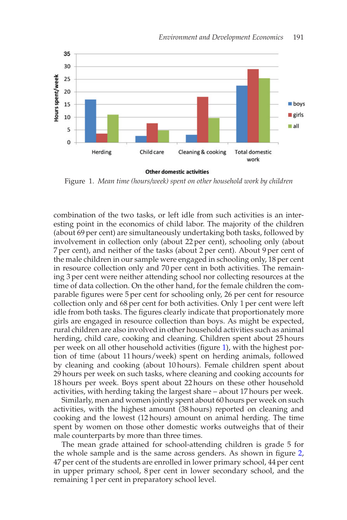

**Other domestic activities** 

Figure 1. *Mean time (hours/week) spent on other household work by children*

combination of the two tasks, or left idle from such activities is an interesting point in the economics of child labor. The majority of the children (about 69 per cent) are simultaneously undertaking both tasks, followed by involvement in collection only (about 22 per cent), schooling only (about 7 per cent), and neither of the tasks (about 2 per cent). About 9 per cent of the male children in our sample were engaged in schooling only, 18 per cent in resource collection only and 70 per cent in both activities. The remaining 3 per cent were neither attending school nor collecting resources at the time of data collection. On the other hand, for the female children the comparable figures were 5 per cent for schooling only, 26 per cent for resource collection only and 68 per cent for both activities. Only 1 per cent were left idle from both tasks. The figures clearly indicate that proportionately more girls are engaged in resource collection than boys. As might be expected, rural children are also involved in other household activities such as animal herding, child care, cooking and cleaning. Children spent about 25 hours per week on all other household activities (figure 1), with the highest portion of time (about 11 hours/week) spent on herding animals, followed by cleaning and cooking (about 10 hours). Female children spent about 29 hours per week on such tasks, where cleaning and cooking accounts for 18 hours per week. Boys spent about 22 hours on these other household activities, with herding taking the largest share – about 17 hours per week.

Similarly, men and women jointly spent about 60 hours per week on such activities, with the highest amount (38 hours) reported on cleaning and cooking and the lowest (12 hours) amount on animal herding. The time spent by women on those other domestic works outweighs that of their male counterparts by more than three times.

The mean grade attained for school-attending children is grade 5 for the whole sample and is the same across genders. As shown in figure 2, 47 per cent of the students are enrolled in lower primary school, 44 per cent in upper primary school, 8 per cent in lower secondary school, and the remaining 1 per cent in preparatory school level.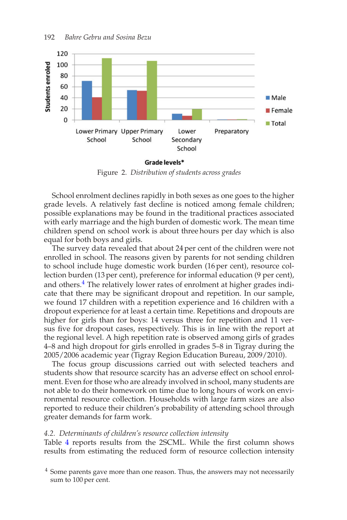

Figure 2. *Distribution of students across grades*

School enrolment declines rapidly in both sexes as one goes to the higher grade levels. A relatively fast decline is noticed among female children; possible explanations may be found in the traditional practices associated with early marriage and the high burden of domestic work. The mean time children spend on school work is about three hours per day which is also equal for both boys and girls.

The survey data revealed that about 24 per cent of the children were not enrolled in school. The reasons given by parents for not sending children to school include huge domestic work burden (16 per cent), resource collection burden (13 per cent), preference for informal education (9 per cent), and others.<sup>4</sup> The relatively lower rates of enrolment at higher grades indicate that there may be significant dropout and repetition. In our sample, we found 17 children with a repetition experience and 16 children with a dropout experience for at least a certain time. Repetitions and dropouts are higher for girls than for boys: 14 versus three for repetition and 11 versus five for dropout cases, respectively. This is in line with the report at the regional level. A high repetition rate is observed among girls of grades 4–8 and high dropout for girls enrolled in grades 5–8 in Tigray during the 2005/2006 academic year (Tigray Region Education Bureau, 2009/2010).

The focus group discussions carried out with selected teachers and students show that resource scarcity has an adverse effect on school enrolment. Even for those who are already involved in school, many students are not able to do their homework on time due to long hours of work on environmental resource collection. Households with large farm sizes are also reported to reduce their children's probability of attending school through greater demands for farm work.

#### *4.2. Determinants of children's resource collection intensity*

Table 4 reports results from the 2SCML. While the first column shows results from estimating the reduced form of resource collection intensity

<sup>&</sup>lt;sup>4</sup> Some parents gave more than one reason. Thus, the answers may not necessarily sum to 100 per cent.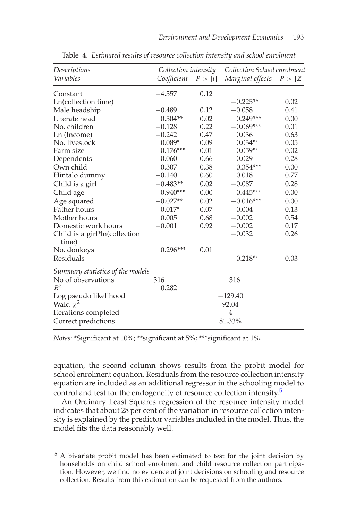| Descriptions                           | Collection intensity |        | Collection School enrolment |        |  |
|----------------------------------------|----------------------|--------|-----------------------------|--------|--|
| Variables                              | Coefficient          | P >  t | Marginal effects            | P >  Z |  |
| Constant                               | $-4.557$             | 0.12   |                             |        |  |
| Ln(collection time)                    |                      |        | $-0.225**$                  | 0.02   |  |
| Male headship                          | $-0.489$             | 0.12   | $-0.058$                    | 0.41   |  |
| Literate head                          | $0.504**$            | 0.02   | $0.249***$                  | 0.00   |  |
| No. children                           | $-0.128$             | 0.22   | $-0.069***$                 | 0.01   |  |
| Ln (Income)                            | $-0.242$             | 0.47   | 0.036                       | 0.63   |  |
| No. livestock                          | $0.089*$             | 0.09   | $0.034**$                   | 0.05   |  |
| Farm size                              | $-0.176***$          | 0.01   | $-0.059**$                  | 0.02   |  |
| Dependents                             | 0.060                | 0.66   | $-0.029$                    | 0.28   |  |
| Own child                              | 0.307                | 0.38   | $0.354***$                  | 0.00   |  |
| Hintalo dummy                          | $-0.140$             | 0.60   | 0.018                       | 0.77   |  |
| Child is a girl                        | $-0.483**$           | 0.02   | $-0.087$                    | 0.28   |  |
| Child age                              | $0.940***$           | 0.00   | $0.445***$                  | 0.00   |  |
| Age squared                            | $-0.027**$           | 0.02   | $-0.016***$                 | 0.00   |  |
| <b>Father hours</b>                    | $0.017*$             | 0.07   | 0.004                       | 0.13   |  |
| Mother hours                           | 0.005                | 0.68   | $-0.002$                    | 0.54   |  |
| Domestic work hours                    | $-0.001$             | 0.92   | $-0.002$                    | 0.17   |  |
| Child is a girl*ln(collection<br>time) |                      |        | $-0.032$                    | 0.26   |  |
| No. donkeys                            | $0.296***$           | 0.01   |                             |        |  |
| Residuals                              |                      |        | $0.218**$                   | 0.03   |  |
| Summary statistics of the models       |                      |        |                             |        |  |
| No of observations                     | 316                  |        | 316                         |        |  |
| $R^2$                                  | 0.282                |        |                             |        |  |
| Log pseudo likelihood                  | $-129.40$            |        |                             |        |  |
| Wald $\chi^2$                          | 92.04                |        |                             |        |  |
| Iterations completed                   |                      |        | $\overline{4}$              |        |  |
| Correct predictions                    |                      |        | 81.33%                      |        |  |

Table 4. *Estimated results of resource collection intensity and school enrolment*

*Notes*: \*Significant at 10%; \*\*significant at 5%; \*\*\*significant at 1%.

equation, the second column shows results from the probit model for school enrolment equation. Residuals from the resource collection intensity equation are included as an additional regressor in the schooling model to control and test for the endogeneity of resource collection intensity.<sup>5</sup>

An Ordinary Least Squares regression of the resource intensity model indicates that about 28 per cent of the variation in resource collection intensity is explained by the predictor variables included in the model. Thus, the model fits the data reasonably well.

<sup>5</sup> A bivariate probit model has been estimated to test for the joint decision by households on child school enrolment and child resource collection participation. However, we find no evidence of joint decisions on schooling and resource collection. Results from this estimation can be requested from the authors.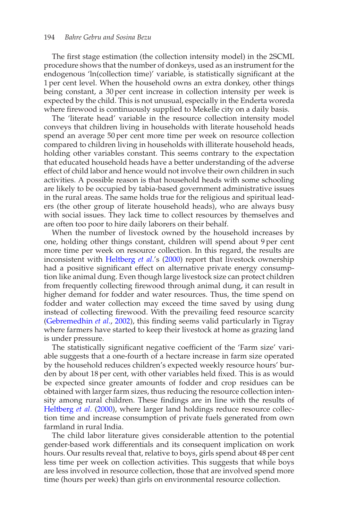The first stage estimation (the collection intensity model) in the 2SCML procedure shows that the number of donkeys, used as an instrument for the endogenous 'ln(collection time)' variable, is statistically significant at the 1 per cent level. When the household owns an extra donkey, other things being constant, a 30 per cent increase in collection intensity per week is expected by the child. This is not unusual, especially in the Enderta woreda where firewood is continuously supplied to Mekelle city on a daily basis.

The 'literate head' variable in the resource collection intensity model conveys that children living in households with literate household heads spend an average 50 per cent more time per week on resource collection compared to children living in households with illiterate household heads, holding other variables constant. This seems contrary to the expectation that educated household heads have a better understanding of the adverse effect of child labor and hence would not involve their own children in such activities. A possible reason is that household heads with some schooling are likely to be occupied by tabia-based government administrative issues in the rural areas. The same holds true for the religious and spiritual leaders (the other group of literate household heads), who are always busy with social issues. They lack time to collect resources by themselves and are often too poor to hire daily laborers on their behalf.

When the number of livestock owned by the household increases by one, holding other things constant, children will spend about 9 per cent more time per week on resource collection. In this regard, the results are inconsistent with Heltberg *et al*.'s (2000) report that livestock ownership had a positive significant effect on alternative private energy consumption like animal dung. Even though large livestock size can protect children from frequently collecting firewood through animal dung, it can result in higher demand for fodder and water resources. Thus, the time spend on fodder and water collection may exceed the time saved by using dung instead of collecting firewood. With the prevailing feed resource scarcity (Gebremedhin *et al*., 2002), this finding seems valid particularly in Tigray where farmers have started to keep their livestock at home as grazing land is under pressure.

The statistically significant negative coefficient of the 'Farm size' variable suggests that a one-fourth of a hectare increase in farm size operated by the household reduces children's expected weekly resource hours' burden by about 18 per cent, with other variables held fixed. This is as would be expected since greater amounts of fodder and crop residues can be obtained with larger farm sizes, thus reducing the resource collection intensity among rural children. These findings are in line with the results of Heltberg *et al*. (2000), where larger land holdings reduce resource collection time and increase consumption of private fuels generated from own farmland in rural India.

The child labor literature gives considerable attention to the potential gender-based work differentials and its consequent implication on work hours. Our results reveal that, relative to boys, girls spend about 48 per cent less time per week on collection activities. This suggests that while boys are less involved in resource collection, those that are involved spend more time (hours per week) than girls on environmental resource collection.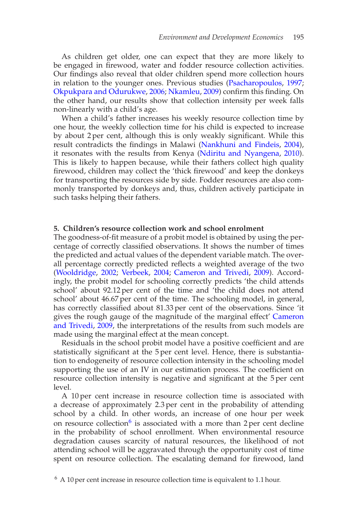As children get older, one can expect that they are more likely to be engaged in firewood, water and fodder resource collection activities. Our findings also reveal that older children spend more collection hours in relation to the younger ones. Previous studies (Psacharopoulos, 1997; Okpukpara and Odurukwe, 2006; Nkamleu, 2009) confirm this finding. On the other hand, our results show that collection intensity per week falls non-linearly with a child's age.

When a child's father increases his weekly resource collection time by one hour, the weekly collection time for his child is expected to increase by about 2 per cent, although this is only weakly significant. While this result contradicts the findings in Malawi (Nankhuni and Findeis, 2004), it resonates with the results from Kenya (Ndiritu and Nyangena, 2010). This is likely to happen because, while their fathers collect high quality firewood, children may collect the 'thick firewood' and keep the donkeys for transporting the resources side by side. Fodder resources are also commonly transported by donkeys and, thus, children actively participate in such tasks helping their fathers.

#### **5. Children's resource collection work and school enrolment**

The goodness-of-fit measure of a probit model is obtained by using the percentage of correctly classified observations. It shows the number of times the predicted and actual values of the dependent variable match. The overall percentage correctly predicted reflects a weighted average of the two (Wooldridge, 2002; Verbeek, 2004; Cameron and Trivedi, 2009). Accordingly, the probit model for schooling correctly predicts 'the child attends school' about 92.12 per cent of the time and 'the child does not attend school' about 46.67 per cent of the time. The schooling model, in general, has correctly classified about 81.33 per cent of the observations. Since 'it gives the rough gauge of the magnitude of the marginal effect' Cameron and Trivedi, 2009, the interpretations of the results from such models are made using the marginal effect at the mean concept.

Residuals in the school probit model have a positive coefficient and are statistically significant at the 5 per cent level. Hence, there is substantiation to endogeneity of resource collection intensity in the schooling model supporting the use of an IV in our estimation process. The coefficient on resource collection intensity is negative and significant at the 5 per cent level.

A 10 per cent increase in resource collection time is associated with a decrease of approximately 2.3 per cent in the probability of attending school by a child. In other words, an increase of one hour per week on resource collection<sup>6</sup> is associated with a more than 2 per cent decline in the probability of school enrollment. When environmental resource degradation causes scarcity of natural resources, the likelihood of not attending school will be aggravated through the opportunity cost of time spent on resource collection. The escalating demand for firewood, land

 $6$  A 10 per cent increase in resource collection time is equivalent to 1.1 hour.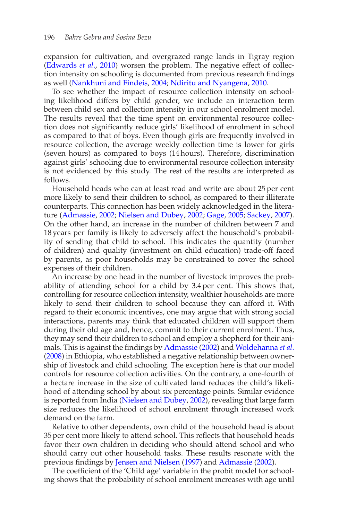expansion for cultivation, and overgrazed range lands in Tigray region (Edwards *et al*., 2010) worsen the problem. The negative effect of collection intensity on schooling is documented from previous research findings as well (Nankhuni and Findeis, 2004; Ndiritu and Nyangena, 2010.

To see whether the impact of resource collection intensity on schooling likelihood differs by child gender, we include an interaction term between child sex and collection intensity in our school enrolment model. The results reveal that the time spent on environmental resource collection does not significantly reduce girls' likelihood of enrolment in school as compared to that of boys. Even though girls are frequently involved in resource collection, the average weekly collection time is lower for girls (seven hours) as compared to boys (14 hours). Therefore, discrimination against girls' schooling due to environmental resource collection intensity is not evidenced by this study. The rest of the results are interpreted as follows.

Household heads who can at least read and write are about 25 per cent more likely to send their children to school, as compared to their illiterate counterparts. This connection has been widely acknowledged in the literature (Admassie, 2002; Nielsen and Dubey, 2002; Gage, 2005; Sackey, 2007). On the other hand, an increase in the number of children between 7 and 18 years per family is likely to adversely affect the household's probability of sending that child to school. This indicates the quantity (number of children) and quality (investment on child education) trade-off faced by parents, as poor households may be constrained to cover the school expenses of their children.

An increase by one head in the number of livestock improves the probability of attending school for a child by 3.4 per cent. This shows that, controlling for resource collection intensity, wealthier households are more likely to send their children to school because they can afford it. With regard to their economic incentives, one may argue that with strong social interactions, parents may think that educated children will support them during their old age and, hence, commit to their current enrolment. Thus, they may send their children to school and employ a shepherd for their animals. This is against the findings by Admassie (2002) and Woldehanna *et al*. (2008) in Ethiopia, who established a negative relationship between ownership of livestock and child schooling. The exception here is that our model controls for resource collection activities. On the contrary, a one-fourth of a hectare increase in the size of cultivated land reduces the child's likelihood of attending school by about six percentage points. Similar evidence is reported from India (Nielsen and Dubey, 2002), revealing that large farm size reduces the likelihood of school enrolment through increased work demand on the farm.

Relative to other dependents, own child of the household head is about 35 per cent more likely to attend school. This reflects that household heads favor their own children in deciding who should attend school and who should carry out other household tasks. These results resonate with the previous findings by Jensen and Nielsen (1997) and Admassie (2002).

The coefficient of the 'Child age' variable in the probit model for schooling shows that the probability of school enrolment increases with age until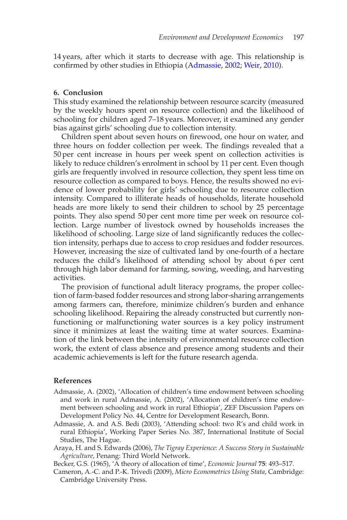14 years, after which it starts to decrease with age. This relationship is confirmed by other studies in Ethiopia (Admassie, 2002; Weir, 2010).

#### **6. Conclusion**

This study examined the relationship between resource scarcity (measured by the weekly hours spent on resource collection) and the likelihood of schooling for children aged 7–18 years. Moreover, it examined any gender bias against girls' schooling due to collection intensity.

Children spent about seven hours on firewood, one hour on water, and three hours on fodder collection per week. The findings revealed that a 50 per cent increase in hours per week spent on collection activities is likely to reduce children's enrolment in school by 11 per cent. Even though girls are frequently involved in resource collection, they spent less time on resource collection as compared to boys. Hence, the results showed no evidence of lower probability for girls' schooling due to resource collection intensity. Compared to illiterate heads of households, literate household heads are more likely to send their children to school by 25 percentage points. They also spend 50 per cent more time per week on resource collection. Large number of livestock owned by households increases the likelihood of schooling. Large size of land significantly reduces the collection intensity, perhaps due to access to crop residues and fodder resources. However, increasing the size of cultivated land by one-fourth of a hectare reduces the child's likelihood of attending school by about 6 per cent through high labor demand for farming, sowing, weeding, and harvesting activities.

The provision of functional adult literacy programs, the proper collection of farm-based fodder resources and strong labor-sharing arrangements among farmers can, therefore, minimize children's burden and enhance schooling likelihood. Repairing the already constructed but currently nonfunctioning or malfunctioning water sources is a key policy instrument since it minimizes at least the waiting time at water sources. Examination of the link between the intensity of environmental resource collection work, the extent of class absence and presence among students and their academic achievements is left for the future research agenda.

#### **References**

- Admassie, A. (2002), 'Allocation of children's time endowment between schooling and work in rural Admassie, A. (2002), 'Allocation of children's time endowment between schooling and work in rural Ethiopia', ZEF Discussion Papers on Development Policy No. 44, Centre for Development Research, Bonn.
- Admassie, A. and A.S. Bedi (2003), 'Attending school: two R's and child work in rural Ethiopia', Working Paper Series No. 387, International Institute of Social Studies, The Hague.
- Araya, H. and S. Edwards (2006), *The Tigray Experience: A Success Story in Sustainable Agriculture*, Penang: Third World Network.
- Becker, G.S. (1965), 'A theory of allocation of time', *Economic Journal* **75**: 493–517.
- Cameron, A.-C. and P.-K. Trivedi (2009), *Micro Econometrics Using Stata*, Cambridge: Cambridge University Press.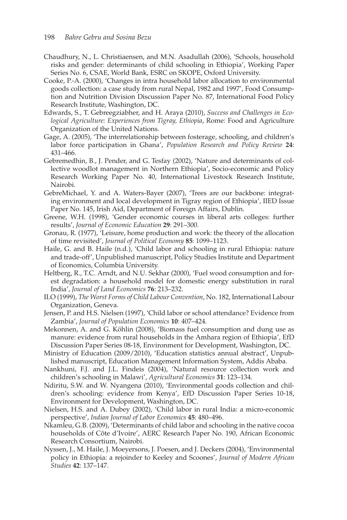- Chaudhury, N., L. Christiaensen, and M.N. Asadullah (2006), 'Schools, household risks and gender: determinants of child schooling in Ethiopia', Working Paper Series No. 6, CSAE, World Bank, ESRC on SKOPE, Oxford University.
- Cooke, P.-A. (2000), 'Changes in intra household labor allocation to environmental goods collection: a case study from rural Nepal, 1982 and 1997', Food Consumption and Nutrition Division Discussion Paper No. 87, International Food Policy Research Institute, Washington, DC.
- Edwards, S., T. Gebreegziabher, and H. Araya (2010), *Success and Challenges in Ecological Agriculture: Experiences from Tigray, Ethiopia*, Rome: Food and Agriculture Organization of the United Nations.
- Gage, A. (2005), 'The interrelationship between fosterage, schooling, and children's labor force participation in Ghana', *Population Research and Policy Review* **24**: 431–466.
- Gebremedhin, B., J. Pender, and G. Tesfay (2002), 'Nature and determinants of collective woodlot management in Northern Ethiopia', Socio-economic and Policy Research Working Paper No. 40, International Livestock Research Institute, Nairobi.
- GebreMichael, Y. and A. Waters-Bayer (2007), 'Trees are our backbone: integrating environment and local development in Tigray region of Ethiopia', IIED Issue Paper No. 145, Irish Aid, Department of Foreign Affairs, Dublin.
- Greene, W.H. (1998), 'Gender economic courses in liberal arts colleges: further results', *Journal of Economic Education* **29**: 291–300.
- Gronau, R. (1977), 'Leisure, home production and work: the theory of the allocation of time revisited', *Journal of Political Economy* **85**: 1099–1123.
- Haile, G. and B. Haile (n.d.), 'Child labor and schooling in rural Ethiopia: nature and trade-off', Unpublished manuscript, Policy Studies Institute and Department of Economics, Columbia University.
- Heltberg, R., T.C. Arndt, and N.U. Sekhar (2000), 'Fuel wood consumption and forest degradation: a household model for domestic energy substitution in rural India', *Journal of Land Economics* **76**: 213–232.
- ILO (1999), *The Worst Forms of Child Labour Convention*, No. 182, International Labour Organization, Geneva.
- Jensen, P. and H.S. Nielsen (1997), 'Child labor or school attendance? Evidence from Zambia', *Journal of Population Economics* **10**: 407–424.
- Mekonnen, A. and G. Köhlin (2008), 'Biomass fuel consumption and dung use as manure: evidence from rural households in the Amhara region of Ethiopia', EfD Discussion Paper Series 08-18, Environment for Development, Washington, DC.
- Ministry of Education (2009/2010), 'Education statistics annual abstract', Unpublished manuscript, Education Management Information System, Addis Ababa.
- Nankhuni, F.J. and J.L. Findeis (2004), 'Natural resource collection work and children's schooling in Malawi', *Agricultural Economics* **31**: 123–134.
- Ndiritu, S.W. and W. Nyangena (2010), 'Environmental goods collection and children's schooling: evidence from Kenya', EfD Discussion Paper Series 10-18, Environment for Development, Washington, DC.
- Nielsen, H.S. and A. Dubey (2002), 'Child labor in rural India: a micro-economic perspective', *Indian Journal of Labor Economics* **45**: 480–496.
- Nkamleu, G.B. (2009), 'Determinants of child labor and schooling in the native cocoa households of Côte d'Ivoire', AERC Research Paper No. 190, African Economic Research Consortium, Nairobi.
- Nyssen, J., M. Haile, J. Moeyersons, J. Poesen, and J. Deckers (2004), 'Environmental policy in Ethiopia: a rejoinder to Keeley and Scoones', *Journal of Modern African Studies* **42**: 137–147.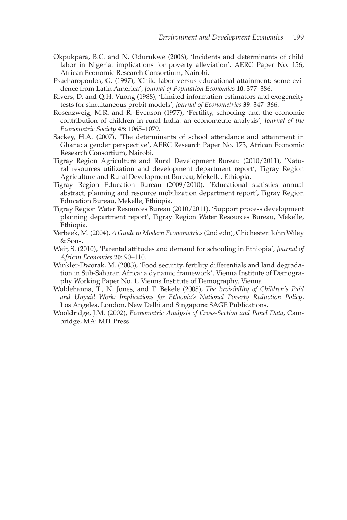- Okpukpara, B.C. and N. Odurukwe (2006), 'Incidents and determinants of child labor in Nigeria: implications for poverty alleviation', AERC Paper No. 156, African Economic Research Consortium, Nairobi.
- Psacharopoulos, G. (1997), 'Child labor versus educational attainment: some evidence from Latin America', *Journal of Population Economics* **10**: 377–386.
- Rivers, D. and Q.H. Vuong (1988), 'Limited information estimators and exogeneity tests for simultaneous probit models', *Journal of Econometrics* **39**: 347–366.
- Rosenzweig, M.R. and R. Evenson (1977), 'Fertility, schooling and the economic contribution of children in rural India: an econometric analysis', *Journal of the Econometric Society* **45**: 1065–1079.
- Sackey, H.A. (2007), 'The determinants of school attendance and attainment in Ghana: a gender perspective', AERC Research Paper No. 173, African Economic Research Consortium, Nairobi.
- Tigray Region Agriculture and Rural Development Bureau (2010/2011), 'Natural resources utilization and development department report', Tigray Region Agriculture and Rural Development Bureau, Mekelle, Ethiopia.
- Tigray Region Education Bureau (2009/2010), 'Educational statistics annual abstract, planning and resource mobilization department report', Tigray Region Education Bureau, Mekelle, Ethiopia.
- Tigray Region Water Resources Bureau (2010/2011), 'Support process development planning department report', Tigray Region Water Resources Bureau, Mekelle, Ethiopia.
- Verbeek, M. (2004), *A Guide to Modern Econometrics* (2nd edn), Chichester: John Wiley & Sons.
- Weir, S. (2010), 'Parental attitudes and demand for schooling in Ethiopia', *Journal of African Economies* **20**: 90–110.
- Winkler-Dworak, M. (2003), 'Food security, fertility differentials and land degradation in Sub-Saharan Africa: a dynamic framework', Vienna Institute of Demography Working Paper No. 1, Vienna Institute of Demography, Vienna.
- Woldehanna, T., N. Jones, and T. Bekele (2008), *The Invisibility of Children's Paid and Unpaid Work: Implications for Ethiopia's National Poverty Reduction Policy*, Los Angeles, London, New Delhi and Singapore: SAGE Publications.
- Wooldridge, J.M. (2002), *Econometric Analysis of Cross-Section and Panel Data*, Cambridge, MA: MIT Press.